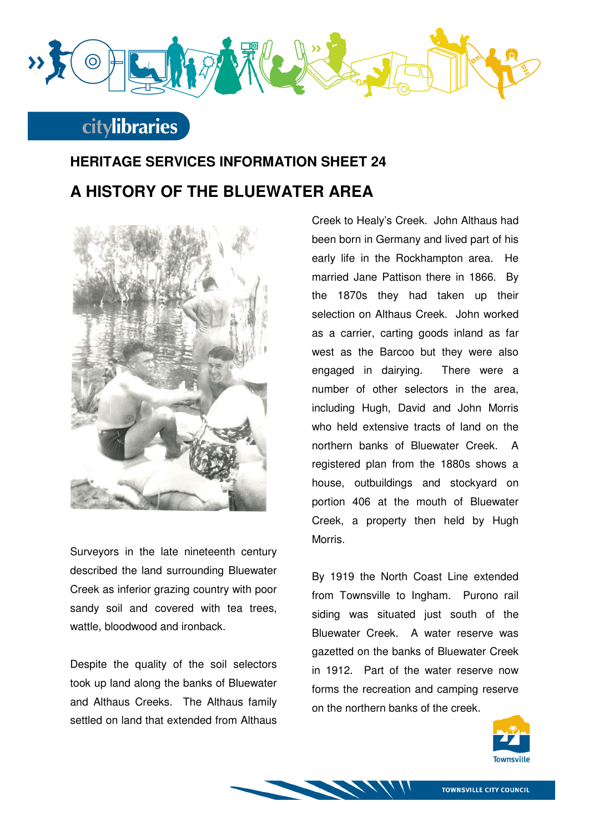

## **citylibraries**

## **HERITAGE SERVICES INFORMATION SHEET 24 A HISTORY OF THE BLUEWATER AREA**



Surveyors in the late nineteenth century described the land surrounding Bluewater Creek as inferior grazing country with poor sandy soil and covered with tea trees, wattle, bloodwood and ironback.

Despite the quality of the soil selectors took up land along the banks of Bluewater and Althaus Creeks. The Althaus family settled on land that extended from Althaus

Creek to Healy's Creek. John Althaus had been born in Germany and lived part of his early life in the Rockhampton area. He married Jane Pattison there in 1866. By the 1870s they had taken up their selection on Althaus Creek. John worked as a carrier, carting goods inland as far west as the Barcoo but they were also engaged in dairying. There were a number of other selectors in the area, including Hugh, David and John Morris who held extensive tracts of land on the northern banks of Bluewater Creek. A registered plan from the 1880s shows a house, outbuildings and stockyard on portion 406 at the mouth of Bluewater Creek, a property then held by Hugh Morris.

By 1919 the North Coast Line extended from Townsville to Ingham. Purono rail siding was situated just south of the Bluewater Creek. A water reserve was gazetted on the banks of Bluewater Creek in 1912. Part of the water reserve now forms the recreation and camping reserve on the northern banks of the creek.